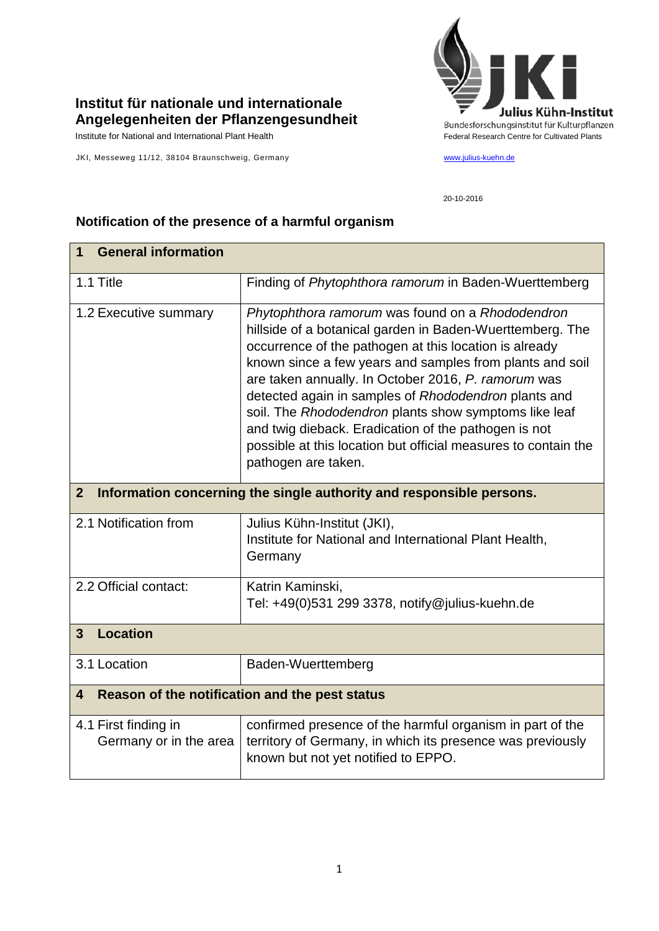## **Institut für nationale und internationale Angelegenheiten der Pflanzengesundheit**

Institute for National and International Plant Health Feature And Theorem Federal Research Centre for Cultivated Plants

JKI, Messeweg 11/12, 38104 Braunschweig, Germany [www.julius-kuehn.de](http://www.julius-kuehn.de/)



20-10-2016

**1 General information** 1.1 Title Finding of *Phytophthora ramorum* in Baden-Wuerttemberg 1.2 Executive summary *Phytophthora ramorum* was found on a *Rhododendron* hillside of a botanical garden in Baden-Wuerttemberg. The occurrence of the pathogen at this location is already known since a few years and samples from plants and soil are taken annually. In October 2016, *P. ramorum* was detected again in samples of *Rhododendron* plants and soil. The *Rhododendron* plants show symptoms like leaf and twig dieback. Eradication of the pathogen is not possible at this location but official measures to contain the pathogen are taken. **2 Information concerning the single authority and responsible persons.** 2.1 Notification from Julius Kühn-Institut (JKI), Institute for National and International Plant Health, Germany 2.2 Official contact: Katrin Kaminski, Tel: +49(0)531 299 3378, [notify@julius-kuehn.de](mailto:notify@jki.bund.de) **3 Location**  3.1 Location Baden-Wuerttemberg **4 Reason of the notification and the pest status** 4.1 First finding in Germany or in the area confirmed presence of the harmful organism in part of the territory of Germany, in which its presence was previously known but not yet notified to EPPO.

## **Notification of the presence of a harmful organism**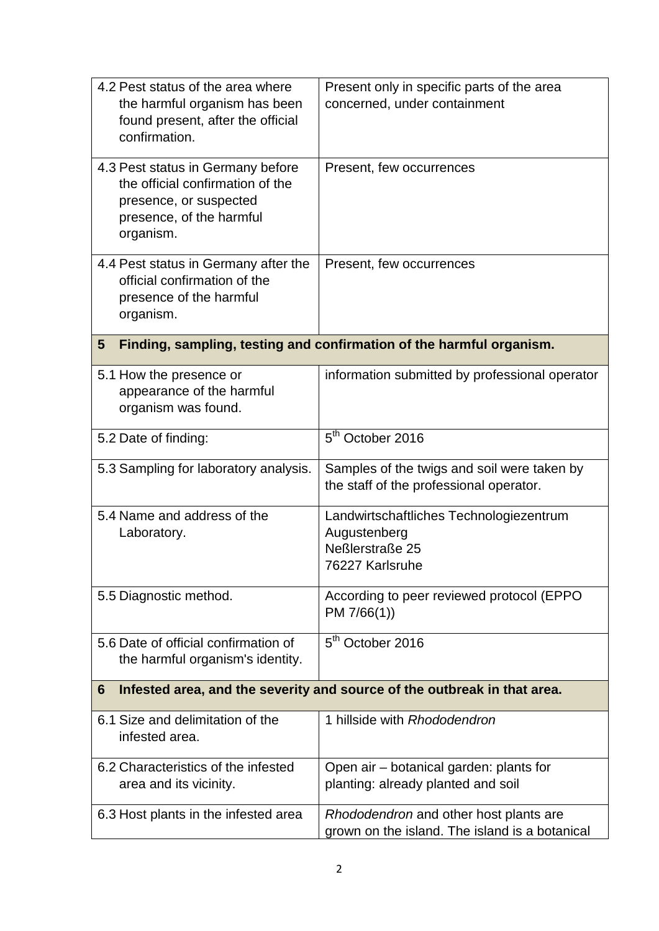| 4.2 Pest status of the area where<br>the harmful organism has been                                                                       | Present only in specific parts of the area<br>concerned, under containment                    |  |
|------------------------------------------------------------------------------------------------------------------------------------------|-----------------------------------------------------------------------------------------------|--|
| found present, after the official<br>confirmation.                                                                                       |                                                                                               |  |
| 4.3 Pest status in Germany before<br>the official confirmation of the<br>presence, or suspected<br>presence, of the harmful<br>organism. | Present, few occurrences                                                                      |  |
| 4.4 Pest status in Germany after the<br>official confirmation of the<br>presence of the harmful<br>organism.                             | Present, few occurrences                                                                      |  |
| Finding, sampling, testing and confirmation of the harmful organism.<br>5                                                                |                                                                                               |  |
| 5.1 How the presence or<br>appearance of the harmful<br>organism was found.                                                              | information submitted by professional operator                                                |  |
| 5.2 Date of finding:                                                                                                                     | 5 <sup>th</sup> October 2016                                                                  |  |
| 5.3 Sampling for laboratory analysis.                                                                                                    | Samples of the twigs and soil were taken by<br>the staff of the professional operator.        |  |
| 5.4 Name and address of the<br>Laboratory.                                                                                               | Landwirtschaftliches Technologiezentrum<br>Augustenberg<br>Neßlerstraße 25<br>76227 Karlsruhe |  |
| 5.5 Diagnostic method.                                                                                                                   | According to peer reviewed protocol (EPPO<br>PM 7/66(1)                                       |  |
| 5.6 Date of official confirmation of<br>the harmful organism's identity.                                                                 | 5 <sup>th</sup> October 2016                                                                  |  |
| Infested area, and the severity and source of the outbreak in that area.<br>6                                                            |                                                                                               |  |
| 6.1 Size and delimitation of the<br>infested area.                                                                                       | 1 hillside with Rhododendron                                                                  |  |
| 6.2 Characteristics of the infested<br>area and its vicinity.                                                                            | Open air – botanical garden: plants for<br>planting: already planted and soil                 |  |
| 6.3 Host plants in the infested area                                                                                                     | Rhododendron and other host plants are<br>grown on the island. The island is a botanical      |  |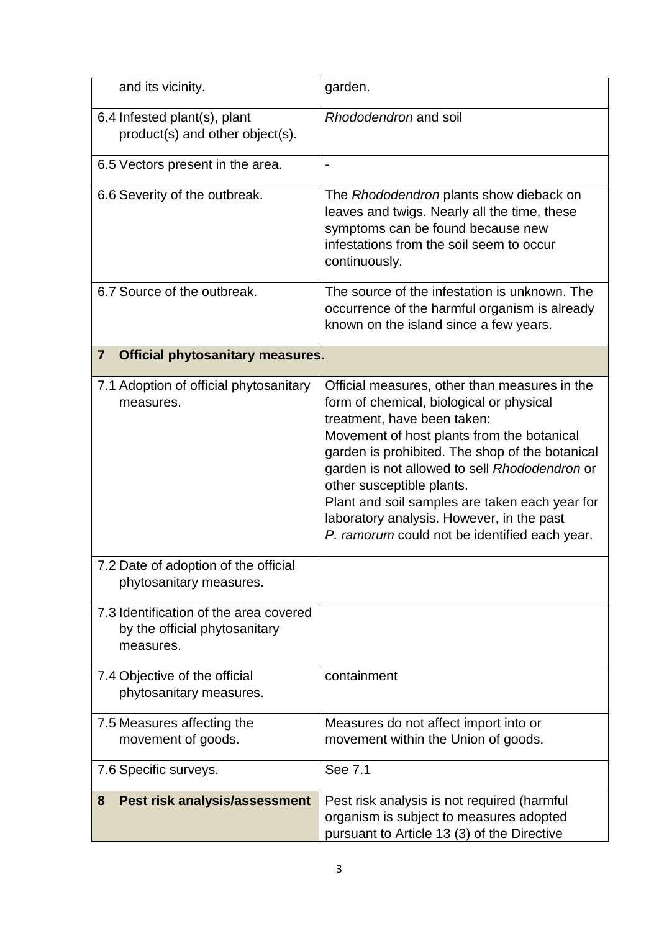| and its vicinity.                                                                    | garden.                                                                                                                                                                                                                                                                                                                                                                                                                                                 |
|--------------------------------------------------------------------------------------|---------------------------------------------------------------------------------------------------------------------------------------------------------------------------------------------------------------------------------------------------------------------------------------------------------------------------------------------------------------------------------------------------------------------------------------------------------|
| 6.4 Infested plant(s), plant<br>product(s) and other object(s).                      | Rhododendron and soil                                                                                                                                                                                                                                                                                                                                                                                                                                   |
| 6.5 Vectors present in the area.                                                     |                                                                                                                                                                                                                                                                                                                                                                                                                                                         |
| 6.6 Severity of the outbreak.                                                        | The Rhododendron plants show dieback on<br>leaves and twigs. Nearly all the time, these<br>symptoms can be found because new<br>infestations from the soil seem to occur<br>continuously.                                                                                                                                                                                                                                                               |
| 6.7 Source of the outbreak.                                                          | The source of the infestation is unknown. The<br>occurrence of the harmful organism is already<br>known on the island since a few years.                                                                                                                                                                                                                                                                                                                |
| $\overline{7}$<br><b>Official phytosanitary measures.</b>                            |                                                                                                                                                                                                                                                                                                                                                                                                                                                         |
| 7.1 Adoption of official phytosanitary<br>measures.                                  | Official measures, other than measures in the<br>form of chemical, biological or physical<br>treatment, have been taken:<br>Movement of host plants from the botanical<br>garden is prohibited. The shop of the botanical<br>garden is not allowed to sell Rhododendron or<br>other susceptible plants.<br>Plant and soil samples are taken each year for<br>laboratory analysis. However, in the past<br>P. ramorum could not be identified each year. |
| 7.2 Date of adoption of the official<br>phytosanitary measures.                      |                                                                                                                                                                                                                                                                                                                                                                                                                                                         |
| 7.3 Identification of the area covered<br>by the official phytosanitary<br>measures. |                                                                                                                                                                                                                                                                                                                                                                                                                                                         |
| 7.4 Objective of the official<br>phytosanitary measures.                             | containment                                                                                                                                                                                                                                                                                                                                                                                                                                             |
| 7.5 Measures affecting the<br>movement of goods.                                     | Measures do not affect import into or<br>movement within the Union of goods.                                                                                                                                                                                                                                                                                                                                                                            |
| 7.6 Specific surveys.                                                                | See 7.1                                                                                                                                                                                                                                                                                                                                                                                                                                                 |
| Pest risk analysis/assessment<br>8                                                   | Pest risk analysis is not required (harmful<br>organism is subject to measures adopted<br>pursuant to Article 13 (3) of the Directive                                                                                                                                                                                                                                                                                                                   |